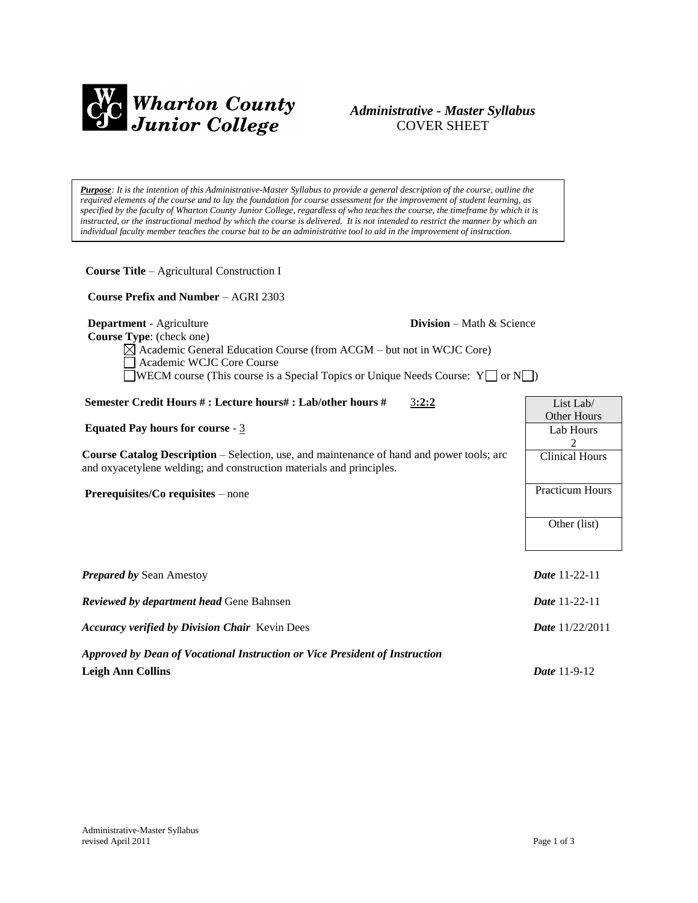

# *Administrative - Master Syllabus*  COVER SHEET

*Purpose: It is the intention of this Administrative-Master Syllabus to provide a general description of the course, outline the required elements of the course and to lay the foundation for course assessment for the improvement of student learning, as specified by the faculty of Wharton County Junior College, regardless of who teaches the course, the timeframe by which it is instructed, or the instructional method by which the course is delivered. It is not intended to restrict the manner by which an individual faculty member teaches the course but to be an administrative tool to aid in the improvement of instruction.*

| <b>Course Title - Agricultural Construction I</b>                                                                                                                                                                                                               |                                     |
|-----------------------------------------------------------------------------------------------------------------------------------------------------------------------------------------------------------------------------------------------------------------|-------------------------------------|
| <b>Course Prefix and Number - AGRI 2303</b>                                                                                                                                                                                                                     |                                     |
| Department - Agriculture<br>Course Type: (check one)<br>$\boxtimes$ Academic General Education Course (from ACGM – but not in WCJC Core)<br>Academic WCJC Core Course<br><b>WECM</b> course (This course is a Special Topics or Unique Needs Course: $Y \cap Y$ | <b>Division</b> – Math $\&$ Science |
| Semester Credit Hours #: Lecture hours#: Lab/other hours #<br>3:2:2                                                                                                                                                                                             | List Lab/                           |
| Equated Pay hours for course - $3$                                                                                                                                                                                                                              | Other Hours<br>Lab Hours<br>2       |
| <b>Course Catalog Description</b> – Selection, use, and maintenance of hand and power tools; arc<br>and oxyacetylene welding; and construction materials and principles.                                                                                        | <b>Clinical Hours</b>               |
| Prerequisites/Co requisites – none                                                                                                                                                                                                                              | <b>Practicum Hours</b>              |
|                                                                                                                                                                                                                                                                 | Other (list)                        |
| <b>Prepared by Sean Amestoy</b>                                                                                                                                                                                                                                 | <b>Date 11-22-11</b>                |
| <b>Reviewed by department head Gene Bahnsen</b>                                                                                                                                                                                                                 | Date 11-22-11                       |
| <b>Accuracy verified by Division Chair Kevin Dees</b>                                                                                                                                                                                                           | <b>Date</b> 11/22/2011              |
| Approved by Dean of Vocational Instruction or Vice President of Instruction                                                                                                                                                                                     |                                     |
| <b>Leigh Ann Collins</b>                                                                                                                                                                                                                                        | Date 11-9-12                        |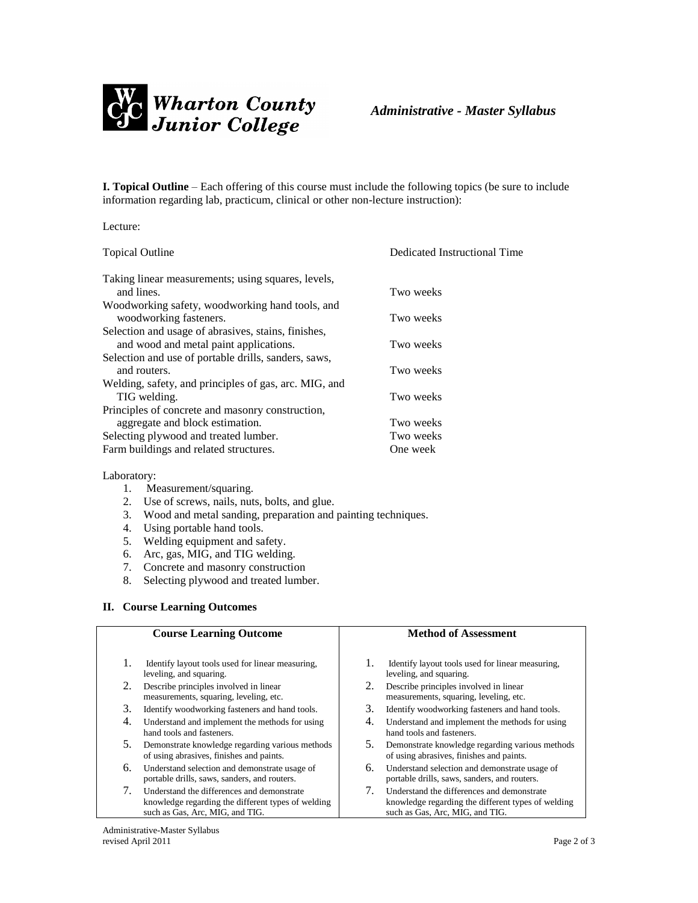

**I. Topical Outline** – Each offering of this course must include the following topics (be sure to include information regarding lab, practicum, clinical or other non-lecture instruction):

| <b>Topical Outline</b>                                | Dedicated Instructional Time |
|-------------------------------------------------------|------------------------------|
| Taking linear measurements; using squares, levels,    |                              |
| and lines.                                            | Two weeks                    |
| Woodworking safety, woodworking hand tools, and       |                              |
| woodworking fasteners.                                | Two weeks                    |
| Selection and usage of abrasives, stains, finishes,   |                              |
| and wood and metal paint applications.                | Two weeks                    |
| Selection and use of portable drills, sanders, saws,  |                              |
| and routers.                                          | Two weeks                    |
| Welding, safety, and principles of gas, arc. MIG, and |                              |
| TIG welding.                                          | Two weeks                    |
| Principles of concrete and masonry construction,      |                              |
| aggregate and block estimation.                       | Two weeks                    |
| Selecting plywood and treated lumber.                 | Two weeks                    |
| Farm buildings and related structures.                | One week                     |

## Laboratory:

Lecture:

- 1. Measurement/squaring.
- 2. Use of screws, nails, nuts, bolts, and glue.
- 3. Wood and metal sanding, preparation and painting techniques.
- 4. Using portable hand tools.
- 5. Welding equipment and safety.
- 6. Arc, gas, MIG, and TIG welding.
- 7. Concrete and masonry construction
- 8. Selecting plywood and treated lumber.

# **II. Course Learning Outcomes**

| <b>Course Learning Outcome</b>                                                    | <b>Method of Assessment</b>                                                 |
|-----------------------------------------------------------------------------------|-----------------------------------------------------------------------------|
| 1.<br>Identify layout tools used for linear measuring.<br>leveling, and squaring. | Identify layout tools used for linear measuring.<br>leveling, and squaring. |
| 2.                                                                                | 2.                                                                          |
| Describe principles involved in linear                                            | Describe principles involved in linear                                      |
| measurements, squaring, leveling, etc.                                            | measurements, squaring, leveling, etc.                                      |
| 3.                                                                                | 3.                                                                          |
| Identify woodworking fasteners and hand tools.                                    | Identify woodworking fasteners and hand tools.                              |
| 4.                                                                                | 4.                                                                          |
| Understand and implement the methods for using                                    | Understand and implement the methods for using                              |
| hand tools and fasteners.                                                         | hand tools and fasteners.                                                   |
| 5.                                                                                | 5.                                                                          |
| Demonstrate knowledge regarding various methods                                   | Demonstrate knowledge regarding various methods                             |
| of using abrasives, finishes and paints.                                          | of using abrasives, finishes and paints.                                    |
| 6.                                                                                | 6.                                                                          |
| Understand selection and demonstrate usage of                                     | Understand selection and demonstrate usage of                               |
| portable drills, saws, sanders, and routers.                                      | portable drills, saws, sanders, and routers.                                |
| 7.                                                                                | $7_{\scriptscriptstyle{\ddots}}$                                            |
| Understand the differences and demonstrate                                        | Understand the differences and demonstrate                                  |
| knowledge regarding the different types of welding                                | knowledge regarding the different types of welding                          |
| such as Gas, Arc, MIG, and TIG.                                                   | such as Gas, Arc, MIG, and TIG.                                             |